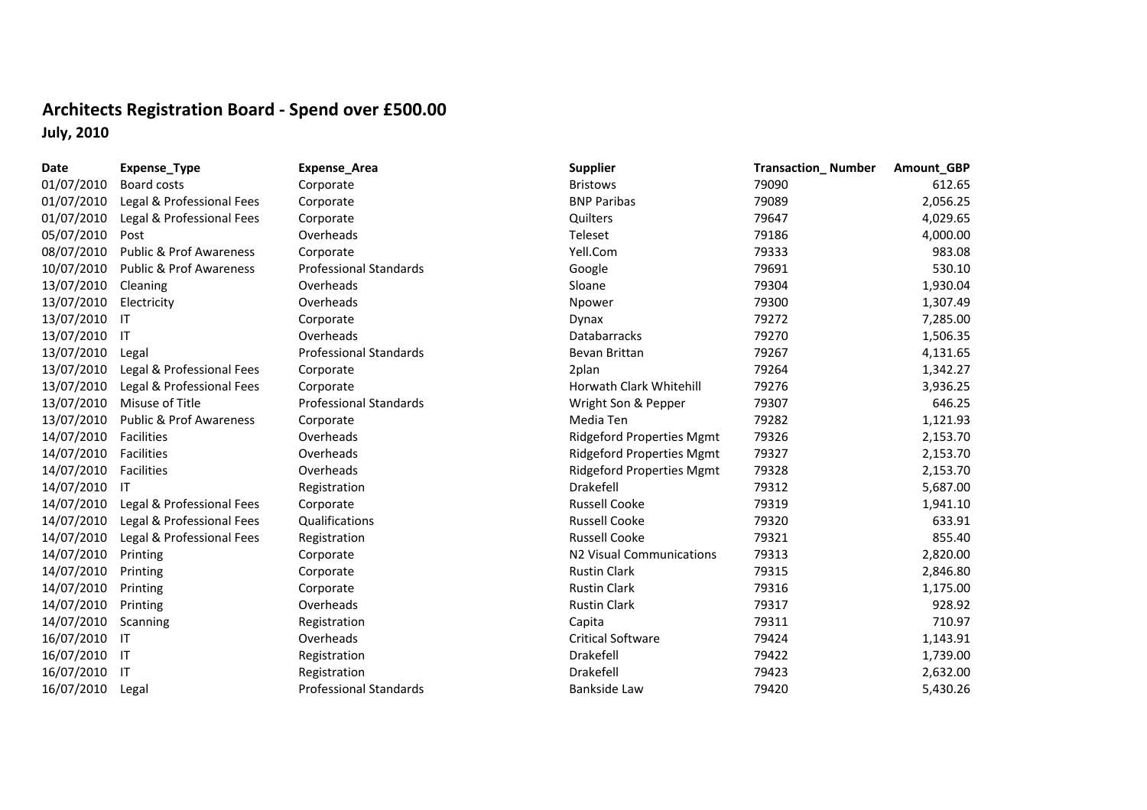## **Architects Registration Board ‐ Spend over £500.00 July, 2010**

| Expense_Area                  |  |  |  |  |  |  |
|-------------------------------|--|--|--|--|--|--|
| Corporate                     |  |  |  |  |  |  |
| Corporate                     |  |  |  |  |  |  |
| Corporate                     |  |  |  |  |  |  |
| Overheads                     |  |  |  |  |  |  |
| Corporate                     |  |  |  |  |  |  |
| <b>Professional Standards</b> |  |  |  |  |  |  |
| Overheads                     |  |  |  |  |  |  |
| Overheads                     |  |  |  |  |  |  |
| Corporate                     |  |  |  |  |  |  |
| Overheads                     |  |  |  |  |  |  |
| <b>Professional Standards</b> |  |  |  |  |  |  |
| Corporate                     |  |  |  |  |  |  |
| Corporate                     |  |  |  |  |  |  |
| <b>Professional Standards</b> |  |  |  |  |  |  |
| Corporate                     |  |  |  |  |  |  |
| Overheads                     |  |  |  |  |  |  |
| Overheads                     |  |  |  |  |  |  |
| Overheads                     |  |  |  |  |  |  |
| Registration                  |  |  |  |  |  |  |
| Corporate                     |  |  |  |  |  |  |
| Qualifications                |  |  |  |  |  |  |
| Registration                  |  |  |  |  |  |  |
| Corporate                     |  |  |  |  |  |  |
| Corporate                     |  |  |  |  |  |  |
| Corporate                     |  |  |  |  |  |  |
| Overheads                     |  |  |  |  |  |  |
| Registration                  |  |  |  |  |  |  |
| Overheads                     |  |  |  |  |  |  |
| Registration                  |  |  |  |  |  |  |
| Registration                  |  |  |  |  |  |  |
| Professional Standards        |  |  |  |  |  |  |

| Date          | Expense_Type                       | <b>Expense_Area</b>           | <b>Supplier</b>                  | <b>Transaction_Number</b> | Amount_GBP |
|---------------|------------------------------------|-------------------------------|----------------------------------|---------------------------|------------|
| 01/07/2010    | Board costs                        | Corporate                     | <b>Bristows</b>                  | 79090                     | 612.65     |
| 01/07/2010    | Legal & Professional Fees          | Corporate                     | <b>BNP Paribas</b>               | 79089                     | 2,056.25   |
| 01/07/2010    | Legal & Professional Fees          | Corporate                     | Quilters                         | 79647                     | 4,029.65   |
| 05/07/2010    | Post                               | Overheads                     | Teleset                          | 79186                     | 4,000.00   |
| 08/07/2010    | <b>Public &amp; Prof Awareness</b> | Corporate                     | Yell.Com                         | 79333                     | 983.08     |
| 10/07/2010    | <b>Public &amp; Prof Awareness</b> | <b>Professional Standards</b> | Google                           | 79691                     | 530.10     |
| 13/07/2010    | Cleaning                           | Overheads                     | Sloane                           | 79304                     | 1,930.04   |
| 13/07/2010    | Electricity                        | Overheads                     | Npower                           | 79300                     | 1,307.49   |
| 13/07/2010    | IT                                 | Corporate                     | Dynax                            | 79272                     | 7,285.00   |
| 13/07/2010    | IT                                 | Overheads                     | Databarracks                     | 79270                     | 1,506.35   |
| 13/07/2010    | Legal                              | <b>Professional Standards</b> | Bevan Brittan                    | 79267                     | 4,131.65   |
| 13/07/2010    | Legal & Professional Fees          | Corporate                     | 2plan                            | 79264                     | 1,342.27   |
| 13/07/2010    | Legal & Professional Fees          | Corporate                     | Horwath Clark Whitehill          | 79276                     | 3,936.25   |
| 13/07/2010    | Misuse of Title                    | <b>Professional Standards</b> | Wright Son & Pepper              | 79307                     | 646.25     |
| 13/07/2010    | <b>Public &amp; Prof Awareness</b> | Corporate                     | Media Ten                        | 79282                     | 1,121.93   |
| 14/07/2010    | Facilities                         | Overheads                     | <b>Ridgeford Properties Mgmt</b> | 79326                     | 2,153.70   |
| 14/07/2010    | Facilities                         | Overheads                     | <b>Ridgeford Properties Mgmt</b> | 79327                     | 2,153.70   |
| 14/07/2010    | Facilities                         | Overheads                     | <b>Ridgeford Properties Mgmt</b> | 79328                     | 2,153.70   |
| 14/07/2010    | $\mathsf{I}$                       | Registration                  | Drakefell                        | 79312                     | 5,687.00   |
| 14/07/2010    | Legal & Professional Fees          | Corporate                     | <b>Russell Cooke</b>             | 79319                     | 1,941.10   |
| 14/07/2010    | Legal & Professional Fees          | Qualifications                | <b>Russell Cooke</b>             | 79320                     | 633.91     |
| 14/07/2010    | Legal & Professional Fees          | Registration                  | <b>Russell Cooke</b>             | 79321                     | 855.40     |
| 14/07/2010    | Printing                           | Corporate                     | N2 Visual Communications         | 79313                     | 2,820.00   |
| 14/07/2010    | Printing                           | Corporate                     | <b>Rustin Clark</b>              | 79315                     | 2,846.80   |
| 14/07/2010    | Printing                           | Corporate                     | <b>Rustin Clark</b>              | 79316                     | 1,175.00   |
| 14/07/2010    | Printing                           | Overheads                     | <b>Rustin Clark</b>              | 79317                     | 928.92     |
| 14/07/2010    | Scanning                           | Registration                  | Capita                           | 79311                     | 710.97     |
| 16/07/2010    | -IT                                | Overheads                     | <b>Critical Software</b>         | 79424                     | 1,143.91   |
| 16/07/2010 IT |                                    | Registration                  | Drakefell                        | 79422                     | 1,739.00   |
| 16/07/2010    | -IT                                | Registration                  | Drakefell                        | 79423                     | 2,632.00   |
| 16/07/2010    | Legal                              | <b>Professional Standards</b> | <b>Bankside Law</b>              | 79420                     | 5,430.26   |
|               |                                    |                               |                                  |                           |            |